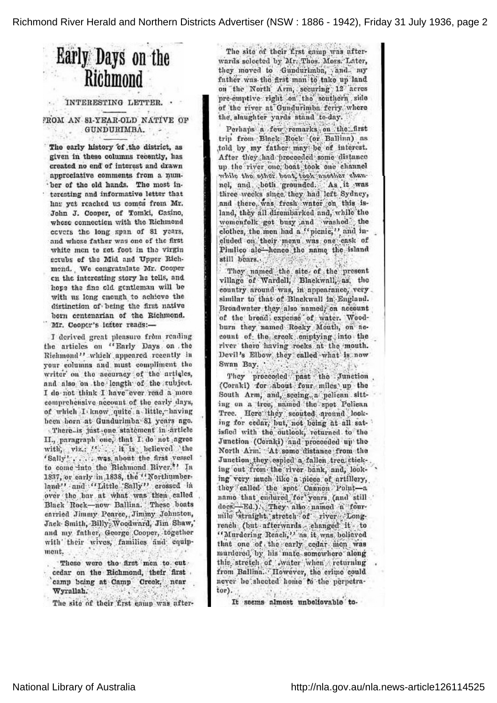Richmond River Herald and Northern Districts Advertiser (NSW : 1886 - 1942), Friday 31 July 1936, page 2

. .

. .

## Early Days on the Richmond

## INTERESTING LETTER.

FROM AN 81-YEAR-OLD NATIVE OF GUNDURIMBA. 机业

The early history of the district, as given in these columns recently, has created no end of interest and drawn appreciative comments from <sup>a</sup> number of the old hands. The most interesting and informative letter that has yet reached us comes from Mr. John J. Cooper, of Tomki, Casino, whose connection with the Richmond covers the long span of 81 years, and whose father was one of the first white men to set foot in the virgin scrubs of the Mid and Upper Rich mond. We congratulate Mr. Cooper on the interesting story he tells, and hope the fine old gentleman will be with us long enough to achieve the distinction of being the first native born centenarian of the, Richmond. Mr. Cooper's letter reads: —

I derived great pleasure from reading the articles on 'Early Days on the Richmond" which appeared recently in your columns and must compliment the writer on the accuracy of the articles, and also on the length of the subject I do not think I have ever read a mor comprehensive account of the early days, of which I know quite a little, having been born at Gundurimba 81 years ago There is just one statement in article II., paragraph one, that I, do not agree with, viz. ". it is believed the 'Sally' .... Was about the first vessel to come into the Richmond River." In 1837, or early in 1838, the  $``$ North land'' and ''Little 11 crossed in over the bar at what was then called Black Rock — now Ballina. These boats carried Jimmy Pearce, Jimmy Johnston, Jack Smith, Billy Woodward, Jim Shaw, and my father, George Cooper, together with their wives, families and equipment.

Those were the first men to cut cedar on the Richmond, their first camp being at Camp Creek, near Wyrallah.

The site of their first eamp was after-

The site of their first camp was afterwards selected by Mr. Thos. Moss. Later, they moved to Gundurimba, and my father was the first man to take up land on the North Arm, securing 12 acre pre-emptive right on the southern side of the river at Gundurimba ferry, where the slaughter yards stand to-day.

Perhaps a few remarks on the first trip from Black Rock (or Ballina) as told by my father may be of interest. After they had proceeded some distance up the river one boat took one channel while the other root took nother channel, and both grounded. As it was three weeks since they had left Sydney, and there was fresh water on this island, they all disembarked and, while the womenfolk got busy and washed the clothes, the men had a "picnic," and included on their menu was one cask of Pimlico ale-hence the name the island still bears.

They named the site of the present village of Wardell, Blackwall, as, the country around was, in appearance, very similar to that of Blackwall in England. Broadwater they also named, on account of the broad expense of water. Woo burn they named Rocky Mouth, on account of the creek emptying into the river there having rocks at the mouth. Devil's Elbow, they called what is now Swan Bay.

They proceeded past the Junction (Coraki) for about four miles up the South Arm, and, seeing a pelican sitting on <sup>a</sup> tree, named the spot Pelican Tree. Here they scouted around look ing for cedar, but, not being at all satisfied with the outlook; returned to the Junction (Coraki) and proceeded up the North Arm. At some distance from the Junction they espied a fallen tree sticking out from the river bank, and, look ing very much like <sup>a</sup> piece of artillery, they ealled the spot Cannon Pointname that endured for years, (and still does:-Ed.). They also named a fourmile straight stretch of river Long reach (but afterwards changed it to '' Murdering Reach,'' as it was believe that one of the early cedar men was murdercd by his mate some where along this stretch of water when returning from Ballinn. However, the crime could never be sheeted home to the perpetrator).

It seems almost unbelievable to-